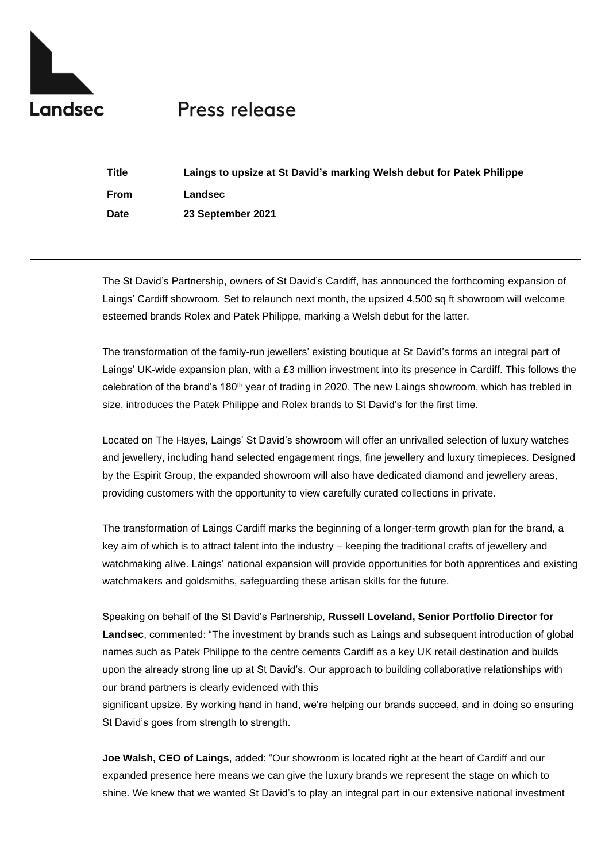

# Press release

| <b>Title</b> | Laings to upsize at St David's marking Welsh debut for Patek Philippe |
|--------------|-----------------------------------------------------------------------|
| <b>From</b>  | Landsec                                                               |
| Date         | 23 September 2021                                                     |

The St David's Partnership, owners of St David's Cardiff, has announced the forthcoming expansion of Laings' Cardiff showroom. Set to relaunch next month, the upsized 4,500 sq ft showroom will welcome esteemed brands Rolex and Patek Philippe, marking a Welsh debut for the latter.

The transformation of the family-run jewellers' existing boutique at St David's forms an integral part of Laings' UK-wide expansion plan, with a £3 million investment into its presence in Cardiff. This follows the celebration of the brand's 180th year of trading in 2020. The new Laings showroom, which has trebled in size, introduces the Patek Philippe and Rolex brands to St David's for the first time.

Located on The Hayes, Laings' St David's showroom will offer an unrivalled selection of luxury watches and jewellery, including hand selected engagement rings, fine jewellery and luxury timepieces. Designed by the Espirit Group, the expanded showroom will also have dedicated diamond and jewellery areas, providing customers with the opportunity to view carefully curated collections in private.

The transformation of Laings Cardiff marks the beginning of a longer-term growth plan for the brand, a key aim of which is to attract talent into the industry – keeping the traditional crafts of jewellery and watchmaking alive. Laings' national expansion will provide opportunities for both apprentices and existing watchmakers and goldsmiths, safeguarding these artisan skills for the future.

Speaking on behalf of the St David's Partnership, **Russell Loveland, Senior Portfolio Director for Landsec**, commented: "The investment by brands such as Laings and subsequent introduction of global names such as Patek Philippe to the centre cements Cardiff as a key UK retail destination and builds upon the already strong line up at St David's. Our approach to building collaborative relationships with our brand partners is clearly evidenced with this

significant upsize. By working hand in hand, we're helping our brands succeed, and in doing so ensuring St David's goes from strength to strength.

**Joe Walsh, CEO of Laings**, added: "Our showroom is located right at the heart of Cardiff and our expanded presence here means we can give the luxury brands we represent the stage on which to shine. We knew that we wanted St David's to play an integral part in our extensive national investment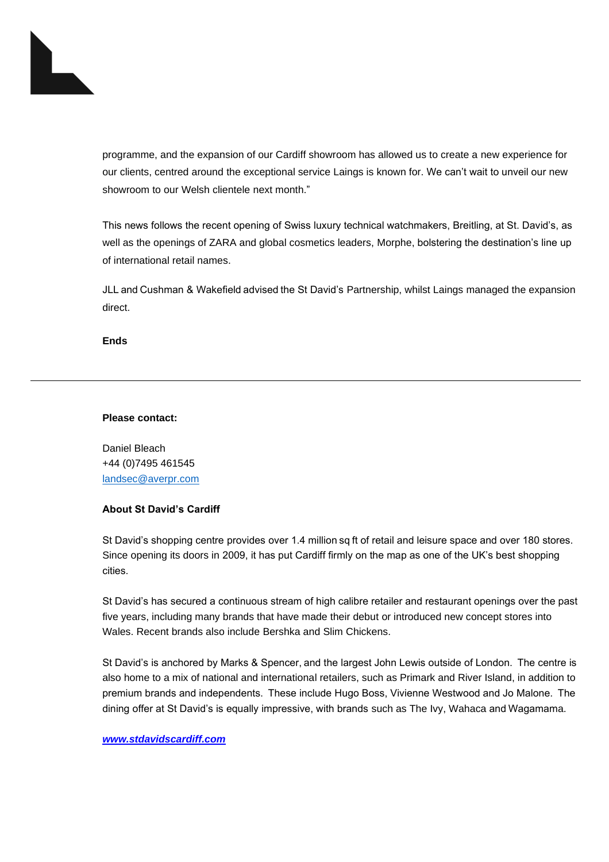

programme, and the expansion of our Cardiff showroom has allowed us to create a new experience for our clients, centred around the exceptional service Laings is known for. We can't wait to unveil our new showroom to our Welsh clientele next month."

This news follows the recent opening of Swiss luxury technical watchmakers, Breitling, at St. David's, as well as the openings of ZARA and global cosmetics leaders, Morphe, bolstering the destination's line up of international retail names.

JLL and Cushman & Wakefield advised the St David's Partnership, whilst Laings managed the expansion direct.

**Ends**

#### **Please contact:**

Daniel Bleach +44 (0)7495 461545 [landsec@averpr.com](mailto:landsec@averpr.com)

## **About St David's Cardiff**

St David's shopping centre provides over 1.4 million sq ft of retail and leisure space and over 180 stores. Since opening its doors in 2009, it has put Cardiff firmly on the map as one of the UK's best shopping cities.  

St David's has secured a continuous stream of high calibre retailer and restaurant openings over the past five years, including many brands that have made their debut or introduced new concept stores into Wales. Recent brands also include Bershka and Slim Chickens.

St David's is anchored by Marks & Spencer, and the largest John Lewis outside of London.  The centre is also home to a mix of national and international retailers, such as Primark and River Island, in addition to premium brands and independents.  These include Hugo Boss, Vivienne Westwood and Jo Malone.  The dining offer at St David's is equally impressive, with brands such as The Ivy, Wahaca and Wagamama.

### *[www.stdavidscardiff.com](http://www.stdavidscardiff.com/)*